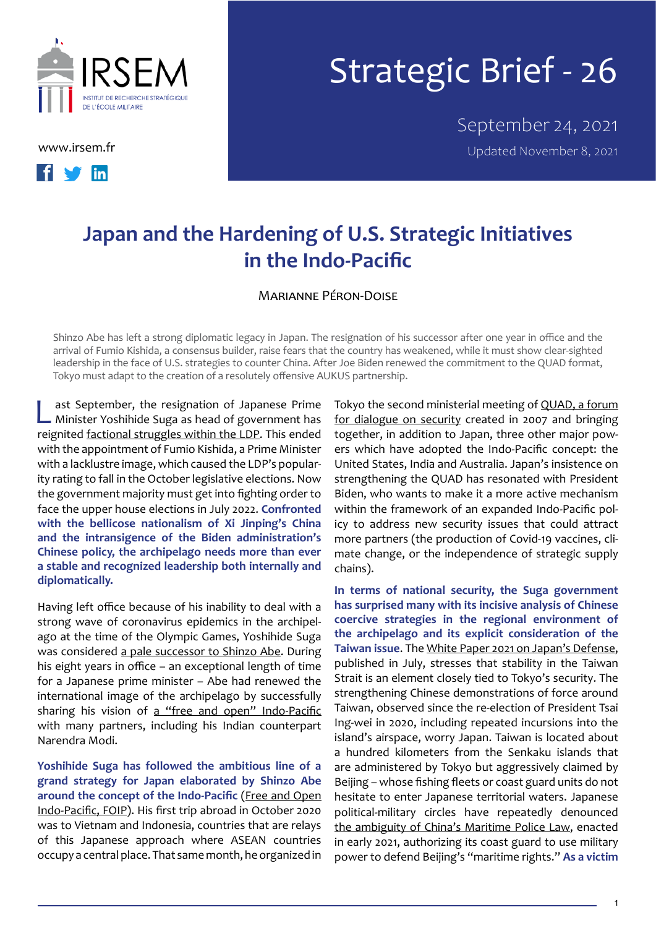



## Strategic Brief - 26

September 24, 2021 [www.irsem.fr](http://www.irsem.fr) **William Strategier Contract Contract Contract Contract Contract Contract Contract Contract Contract Contract Contract Contract Contract Contract Contract Contract Contract Contract Contract Contract Contract** 

## **Japan and the Hardening of U.S. Strategic Initiatives in the Indo-Pacific**

Marianne Péron-Doise

Shinzo Abe has left a strong diplomatic legacy in Japan. The resignation of his successor after one year in office and the arrival of Fumio Kishida, a consensus builder, raise fears that the country has weakened, while it must show clear-sighted leadership in the face of U.S. strategies to counter China. After Joe Biden renewed the commitment to the QUAD format, Tokyo must adapt to the creation of a resolutely offensive AUKUS partnership.

ast September, the resignation of Japanese Prime Minister Yoshihide Suga as head of government has reignited [factional struggles within the LDP.](https://theconversation.com/who-will-replace-yoshihide-suga-as-japans-prime-minister-heres-a-rundown-of-the-candidates-167355) This ended with the appointment of Fumio Kishida, a Prime Minister with a lacklustre image, which caused the LDP's popularity rating to fall in the October legislative elections. Now the government majority must get into fighting order to face the upper house elections in July 2022. **Confronted with the bellicose nationalism of Xi Jinping's China and the intransigence of the Biden administration's Chinese policy, the archipelago needs more than ever a stable and recognized leadership both internally and diplomatically.**

Having left office because of his inability to deal with a strong wave of coronavirus epidemics in the archipelago at the time of the Olympic Games, Yoshihide Suga was considered [a pale successor to Shinzo Abe.](https://thediplomat.com/2021/09/suga-bows-out-of-party-vote-paves-way-for-new-japan-leader/) During his eight years in office – an exceptional length of time for a Japanese prime minister – Abe had renewed the international image of the archipelago by successfully sharing his vision of a "free and open" Indo-Pacific with many partners, including his Indian counterpart Narendra Modi.

**Yoshihide Suga has followed the ambitious line of a grand strategy for Japan elaborated by Shinzo Abe around the concept of the Indo-Pacific** ([Free and Open](https://www.mofa.go.jp/policy/page25e_000278.html)  [Indo-Pacific, FOIP](https://www.mofa.go.jp/policy/page25e_000278.html)). His first trip abroad in October 2020 was to Vietnam and Indonesia, countries that are relays of this Japanese approach where ASEAN countries occupy a central place. That same month, he organized in

Tokyo the second ministerial meeting of [QUAD, a forum](https://theconversation.com/le-quad-pilier-de-la-strategie-indo-pacifique-de-ladministration-biden-158966) [for dialogue on security](https://theconversation.com/le-quad-pilier-de-la-strategie-indo-pacifique-de-ladministration-biden-158966) created in 2007 and bringing together, in addition to Japan, three other major powers which have adopted the Indo-Pacific concept: the United States, India and Australia. Japan's insistence on strengthening the QUAD has resonated with President Biden, who wants to make it a more active mechanism within the framework of an expanded Indo-Pacific policy to address new security issues that could attract more partners (the production of Covid-19 vaccines, climate change, or the independence of strategic supply chains).

**In terms of national security, the Suga government has surprised many with its incisive analysis of Chinese coercive strategies in the regional environment of the archipelago and its explicit consideration of the Taiwan issue**. The [White Paper 2021 on Japan's Defense](https://www.mod.go.jp/en/publ/w_paper/index.html), published in July, stresses that stability in the Taiwan Strait is an element closely tied to Tokyo's security. The strengthening Chinese demonstrations of force around Taiwan, observed since the re-election of President Tsai Ing-wei in 2020, including repeated incursions into the island's airspace, worry Japan. Taiwan is located about a hundred kilometers from the Senkaku islands that are administered by Tokyo but aggressively claimed by Beijing – whose fishing fleets or coast guard units do not hesitate to enter Japanese territorial waters. Japanese political-military circles have repeatedly denounced [the ambiguity of China's Maritime Police Law,](https://theconversation.com/la-loi-chinoise-sur-les-garde-cotes-va-t-elle-provoquer-de-nouvelles-tensions-sur-les-mers-dasie-155417) enacted in early 2021, authorizing its coast guard to use military power to defend Beijing's "maritime rights." **As a victim**